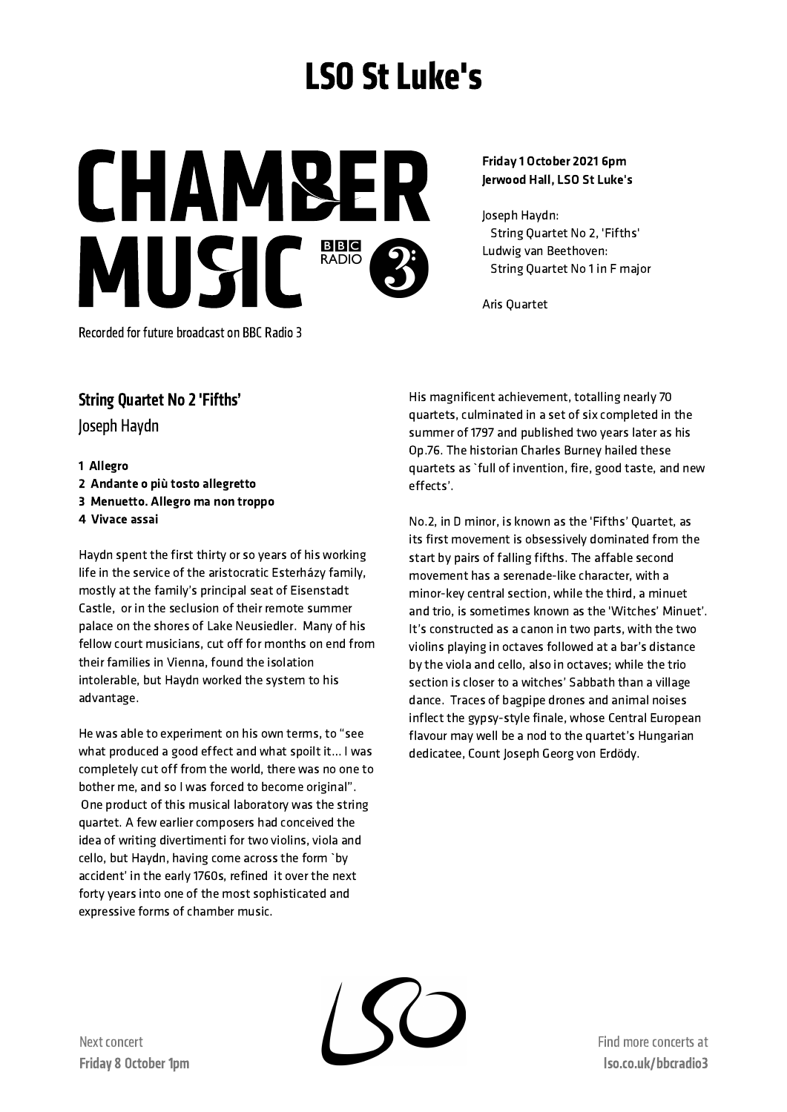## LSO St Luke's

**CHAMBER** MUSIC<sup>BBC</sup>

Friday 1 October 2021 6pm Jerwood Hall, LSO St Luke's

Joseph Haydn: String Quartet No 2, 'Fifths' Ludwig van Beethoven: String Quartet No 1 in F major

Aris Quartet

Recorded for future broadcast on BBC Radio 3

## String Quartet No 2 'Fifths'

Joseph Haydn

1 Allegro Andante o più tosto allegretto Menuetto. Allegro ma non troppo Vivace assai

Haydn spent the first thirty or so years of his working life in the service of the aristocratic Esterházy family, mostly at the family's principal seat of Eisenstadt Castle, or in the seclusion of their remote summer palace on the shores of Lake Neusiedler. Many of his fellow court musicians, cut off for months on end from their families in Vienna, found the isolation intolerable, but Haydn worked the system to his advantage.

He was able to experiment on his own terms, to "see what produced a good effect and what spoilt it… I was completely cut off from the world, there was no one to bother me, and so I was forced to become original". One product of this musical laboratory was the string quartet. A few earlier composers had conceived the idea of writing divertimenti for two violins, viola and cello, but Haydn, having come across the form `by accident' in the early 1760s, refined it over the next forty years into one of the most sophisticated and expressive forms of chamber music.

His magnificent achievement, totalling nearly 70 quartets, culminated in a set of six completed in the summer of 1797 and published two years later as his Op.76. The historian Charles Burney hailed these quartets as `full of invention, fire, good taste, and new effects'.

No.2, in D minor, is known as the 'Fifths' Quartet, as its first movement is obsessively dominated from the start by pairs of falling fifths. The affable second movement has a serenade-like character, with a minor-key central section, while the third, a minuet and trio, is sometimes known as the 'Witches' Minuet'. It's constructed as a canon in two parts, with the two violins playing in octaves followed at a bar's distance by the viola and cello, also in octaves; while the trio section is closer to a witches' Sabbath than a village dance. Traces of bagpipe drones and animal noises inflect the gypsy-style finale, whose Central European flavour may well be a nod to the quartet's Hungarian dedicatee, Count Joseph Georg von Erdödy.

Find more concertsat lso.co.uk/bbcradio3

Next concert Friday 8 October 1pm